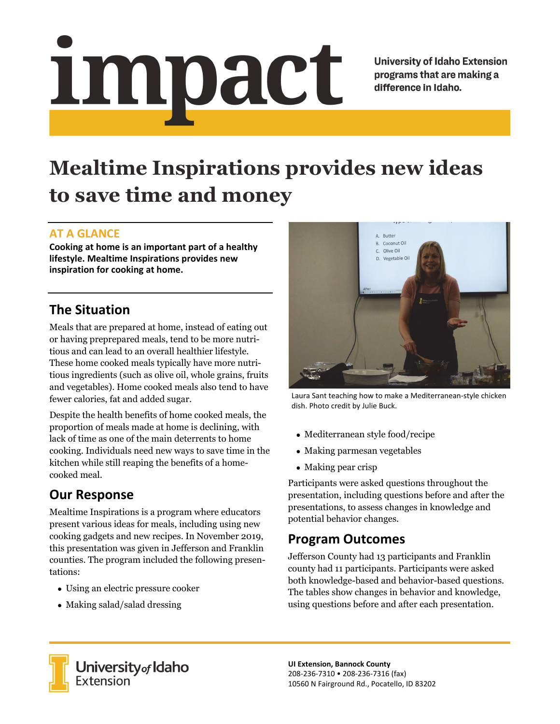# <u>impact</u>

**University of Idaho Extension** programs that are making a difference in Idaho.

# **Mealtime Inspirations provides new ideas to save time and money**

#### **AT A GLANCE**

**Cooking at home is an important part of a healthy lifestyle. Mealtime Inspirations provides new inspiration for cooking at home.** 

### **The Situation**

Meals that are prepared at home, instead of eating out or having preprepared meals, tend to be more nutritious and can lead to an overall healthier lifestyle. These home cooked meals typically have more nutritious ingredients (such as olive oil, whole grains, fruits and vegetables). Home cooked meals also tend to have fewer calories, fat and added sugar.

Despite the health benefits of home cooked meals, the proportion of meals made at home is declining, with lack of time as one of the main deterrents to home cooking. Individuals need new ways to save time in the kitchen while still reaping the benefits of a homecooked meal.

## **Our Response**

Mealtime Inspirations is a program where educators present various ideas for meals, including using new cooking gadgets and new recipes. In November 2019, this presentation was given in Jefferson and Franklin counties. The program included the following presentations:

- Using an electric pressure cooker
- Making salad/salad dressing



Laura Sant teaching how to make a Mediterranean‐style chicken dish. Photo credit by Julie Buck.

- Mediterranean style food/recipe
- Making parmesan vegetables
- Making pear crisp

Participants were asked questions throughout the presentation, including questions before and after the presentations, to assess changes in knowledge and potential behavior changes.

#### **Program Outcomes**

Jefferson County had 13 participants and Franklin county had 11 participants. Participants were asked both knowledge-based and behavior-based questions. The tables show changes in behavior and knowledge, using questions before and after each presentation.



University<sub>of</sub> Idaho Extension

**UI Extension, Bannock County**  208‐236‐7310 • 208‐236‐7316 (fax) 10560 N Fairground Rd., Pocatello, ID 83202